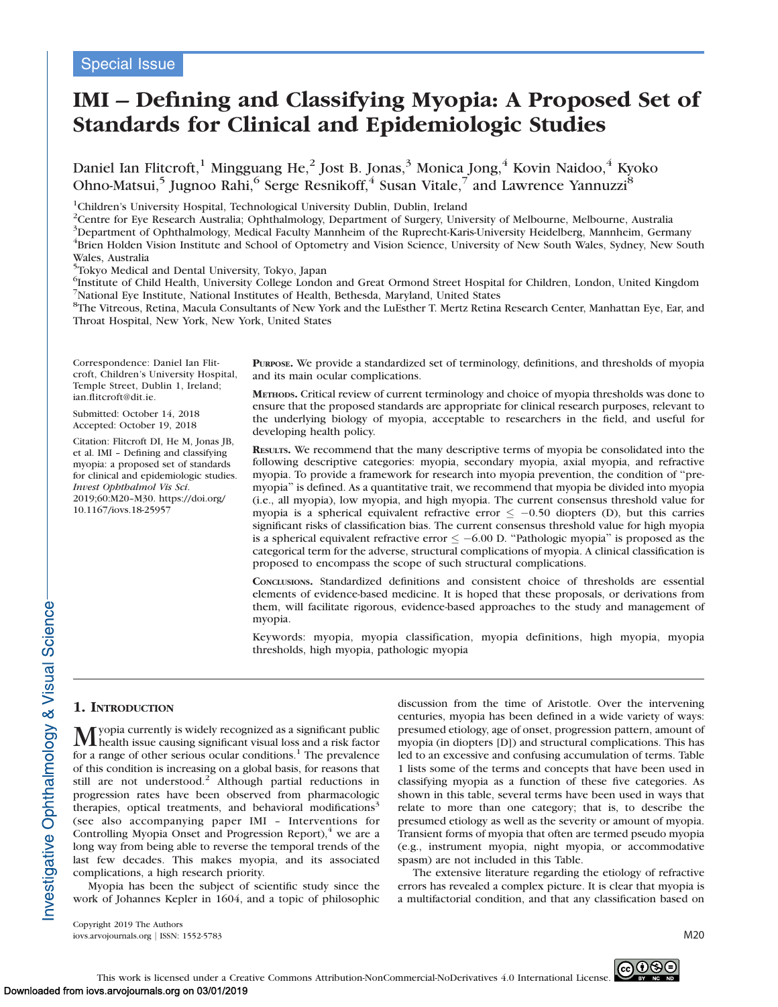# IMI – Defining and Classifying Myopia: A Proposed Set of Standards for Clinical and Epidemiologic Studies

Daniel Ian Flitcroft, $^1$  Mingguang He, $^2$  Jost B. Jonas, $^3$  Monica Jong, $^4$  Kovin Naidoo, $^4$  Kyoko Ohno-Matsui,<sup>5</sup> Jugnoo Rahi,<sup>6</sup> Serge Resnikoff,<sup>4</sup> Susan Vitale,<sup>7</sup> and Lawrence Yannuzzi<sup>8</sup>

<sup>1</sup>Children's University Hospital, Technological University Dublin, Dublin, Ireland

<sup>2</sup>Centre for Eye Research Australia; Ophthalmology, Department of Surgery, University of Melbourne, Melbourne, Australia

<sup>3</sup>Department of Ophthalmology, Medical Faculty Mannheim of the Ruprecht-Karis-University Heidelberg, Mannheim, Germany

<sup>4</sup>Brien Holden Vision Institute and School of Optometry and Vision Science, University of New South Wales, Sydney, New South Wales, Australia

5 Tokyo Medical and Dental University, Tokyo, Japan

6 Institute of Child Health, University College London and Great Ormond Street Hospital for Children, London, United Kingdom 7 National Eye Institute, National Institutes of Health, Bethesda, Maryland, United States

8 The Vitreous, Retina, Macula Consultants of New York and the LuEsther T. Mertz Retina Research Center, Manhattan Eye, Ear, and Throat Hospital, New York, New York, United States

Correspondence: Daniel Ian Flitcroft, Children's University Hospital, Temple Street, Dublin 1, Ireland; ian.flitcroft@dit.ie.

Submitted: October 14, 2018 Accepted: October 19, 2018

Citation: Flitcroft DI, He M, Jonas JB, et al. IMI – Defining and classifying myopia: a proposed set of standards for clinical and epidemiologic studies. Invest Ophthalmol Vis Sci. 2019;60:M20–M30. https://doi.org/ 10.1167/iovs.18-25957

PURPOSE. We provide a standardized set of terminology, definitions, and thresholds of myopia and its main ocular complications.

METHODS. Critical review of current terminology and choice of myopia thresholds was done to ensure that the proposed standards are appropriate for clinical research purposes, relevant to the underlying biology of myopia, acceptable to researchers in the field, and useful for developing health policy.

RESULTS. We recommend that the many descriptive terms of myopia be consolidated into the following descriptive categories: myopia, secondary myopia, axial myopia, and refractive myopia. To provide a framework for research into myopia prevention, the condition of ''premyopia'' is defined. As a quantitative trait, we recommend that myopia be divided into myopia (i.e., all myopia), low myopia, and high myopia. The current consensus threshold value for myopia is a spherical equivalent refractive error  $\leq -0.50$  diopters (D), but this carries significant risks of classification bias. The current consensus threshold value for high myopia is a spherical equivalent refractive error  $\le -6.00$  D. "Pathologic myopia" is proposed as the categorical term for the adverse, structural complications of myopia. A clinical classification is proposed to encompass the scope of such structural complications.

CONCLUSIONS. Standardized definitions and consistent choice of thresholds are essential elements of evidence-based medicine. It is hoped that these proposals, or derivations from them, will facilitate rigorous, evidence-based approaches to the study and management of myopia.

Keywords: myopia, myopia classification, myopia definitions, high myopia, myopia thresholds, high myopia, pathologic myopia

## 1. INTRODUCTION

Myopia currently is widely recognized as a significant public health issue causing significant visual loss and a risk factor for a range of other serious ocular conditions.<sup>1</sup> The prevalence of this condition is increasing on a global basis, for reasons that still are not understood.<sup>2</sup> Although partial reductions in progression rates have been observed from pharmacologic therapies, optical treatments, and behavioral modifications<sup>3</sup> (see also accompanying paper IMI – Interventions for Controlling Myopia Onset and Progression Report), $4 \le a$  are a long way from being able to reverse the temporal trends of the last few decades. This makes myopia, and its associated complications, a high research priority.

Myopia has been the subject of scientific study since the work of Johannes Kepler in 1604, and a topic of philosophic discussion from the time of Aristotle. Over the intervening centuries, myopia has been defined in a wide variety of ways: presumed etiology, age of onset, progression pattern, amount of myopia (in diopters [D]) and structural complications. This has led to an excessive and confusing accumulation of terms. Table 1 lists some of the terms and concepts that have been used in classifying myopia as a function of these five categories. As shown in this table, several terms have been used in ways that relate to more than one category; that is, to describe the presumed etiology as well as the severity or amount of myopia. Transient forms of myopia that often are termed pseudo myopia (e.g., instrument myopia, night myopia, or accommodative spasm) are not included in this Table.

The extensive literature regarding the etiology of refractive errors has revealed a complex picture. It is clear that myopia is a multifactorial condition, and that any classification based on

Copyright 2019 The Authors iovs.arvojournals.org j ISSN: 1552-5783 M20

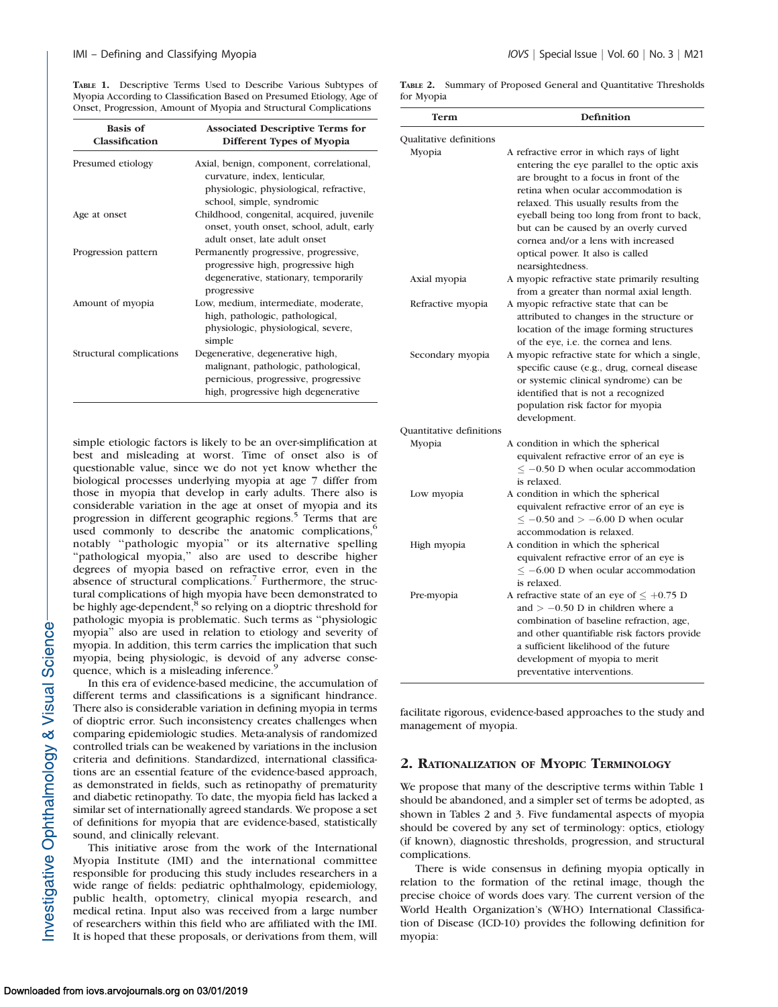TABLE 1. Descriptive Terms Used to Describe Various Subtypes of Myopia According to Classification Based on Presumed Etiology, Age of Onset, Progression, Amount of Myopia and Structural Complications

| <b>Basis</b> of<br>Classification | <b>Associated Descriptive Terms for</b><br>Different Types of Myopia                                                                                    |
|-----------------------------------|---------------------------------------------------------------------------------------------------------------------------------------------------------|
| Presumed etiology                 | Axial, benign, component, correlational,<br>curvature, index, lenticular,<br>physiologic, physiological, refractive,<br>school, simple, syndromic       |
| Age at onset                      | Childhood, congenital, acquired, juvenile<br>onset, youth onset, school, adult, early<br>adult onset, late adult onset                                  |
| Progression pattern               | Permanently progressive, progressive,<br>progressive high, progressive high<br>degenerative, stationary, temporarily<br>progressive                     |
| Amount of myopia                  | Low, medium, intermediate, moderate,<br>high, pathologic, pathological,<br>physiologic, physiological, severe,<br>simple                                |
| Structural complications          | Degenerative, degenerative high,<br>malignant, pathologic, pathological,<br>pernicious, progressive, progressive<br>high, progressive high degenerative |

simple etiologic factors is likely to be an over-simplification at best and misleading at worst. Time of onset also is of questionable value, since we do not yet know whether the biological processes underlying myopia at age 7 differ from those in myopia that develop in early adults. There also is considerable variation in the age at onset of myopia and its progression in different geographic regions.<sup>5</sup> Terms that are used commonly to describe the anatomic complications, $6$ notably ''pathologic myopia'' or its alternative spelling "pathological myopia," also are used to describe higher degrees of myopia based on refractive error, even in the absence of structural complications.<sup>7</sup> Furthermore, the structural complications of high myopia have been demonstrated to be highly age-dependent, $\overline{8}$  so relying on a dioptric threshold for pathologic myopia is problematic. Such terms as ''physiologic myopia'' also are used in relation to etiology and severity of myopia. In addition, this term carries the implication that such myopia, being physiologic, is devoid of any adverse consequence, which is a misleading inference.<sup>9</sup>

In this era of evidence-based medicine, the accumulation of different terms and classifications is a significant hindrance. There also is considerable variation in defining myopia in terms of dioptric error. Such inconsistency creates challenges when comparing epidemiologic studies. Meta-analysis of randomized controlled trials can be weakened by variations in the inclusion criteria and definitions. Standardized, international classifications are an essential feature of the evidence-based approach, as demonstrated in fields, such as retinopathy of prematurity and diabetic retinopathy. To date, the myopia field has lacked a similar set of internationally agreed standards. We propose a set of definitions for myopia that are evidence-based, statistically sound, and clinically relevant.

This initiative arose from the work of the International Myopia Institute (IMI) and the international committee responsible for producing this study includes researchers in a wide range of fields: pediatric ophthalmology, epidemiology, public health, optometry, clinical myopia research, and medical retina. Input also was received from a large number of researchers within this field who are affiliated with the IMI. It is hoped that these proposals, or derivations from them, will

TABLE 2. Summary of Proposed General and Quantitative Thresholds for Myopia

| Term                     | <b>Definition</b>                                                                                                                                                                                                                                                                                                                                                                                         |
|--------------------------|-----------------------------------------------------------------------------------------------------------------------------------------------------------------------------------------------------------------------------------------------------------------------------------------------------------------------------------------------------------------------------------------------------------|
| Qualitative definitions  |                                                                                                                                                                                                                                                                                                                                                                                                           |
| Myopia                   | A refractive error in which rays of light<br>entering the eye parallel to the optic axis<br>are brought to a focus in front of the<br>retina when ocular accommodation is<br>relaxed. This usually results from the<br>eyeball being too long from front to back,<br>but can be caused by an overly curved<br>cornea and/or a lens with increased<br>optical power. It also is called<br>nearsightedness. |
| Axial myopia             | A myopic refractive state primarily resulting<br>from a greater than normal axial length.                                                                                                                                                                                                                                                                                                                 |
| Refractive myopia        | A myopic refractive state that can be<br>attributed to changes in the structure or<br>location of the image forming structures<br>of the eye, i.e. the cornea and lens.                                                                                                                                                                                                                                   |
| Secondary myopia         | A myopic refractive state for which a single,<br>specific cause (e.g., drug, corneal disease<br>or systemic clinical syndrome) can be<br>identified that is not a recognized<br>population risk factor for myopia<br>development.                                                                                                                                                                         |
| Quantitative definitions |                                                                                                                                                                                                                                                                                                                                                                                                           |
| Myopia                   | A condition in which the spherical<br>equivalent refractive error of an eye is<br>$\leq$ -0.50 D when ocular accommodation<br>is relaxed.                                                                                                                                                                                                                                                                 |
| Low myopia               | A condition in which the spherical<br>equivalent refractive error of an eye is<br>$\leq -0.50$ and $> -6.00$ D when ocular<br>accommodation is relaxed.                                                                                                                                                                                                                                                   |
| High myopia              | A condition in which the spherical<br>equivalent refractive error of an eye is<br>$\leq -6.00$ D when ocular accommodation<br>is relaxed.                                                                                                                                                                                                                                                                 |
| Pre-myopia               | A refractive state of an eye of $\leq +0.75$ D<br>and $> -0.50$ D in children where a<br>combination of baseline refraction, age,<br>and other quantifiable risk factors provide<br>a sufficient likelihood of the future<br>development of myopia to merit<br>preventative interventions.                                                                                                                |

facilitate rigorous, evidence-based approaches to the study and management of myopia.

## 2. RATIONALIZATION OF MYOPIC TERMINOLOGY

We propose that many of the descriptive terms within Table 1 should be abandoned, and a simpler set of terms be adopted, as shown in Tables 2 and 3. Five fundamental aspects of myopia should be covered by any set of terminology: optics, etiology (if known), diagnostic thresholds, progression, and structural complications.

There is wide consensus in defining myopia optically in relation to the formation of the retinal image, though the precise choice of words does vary. The current version of the World Health Organization's (WHO) International Classification of Disease (ICD-10) provides the following definition for myopia: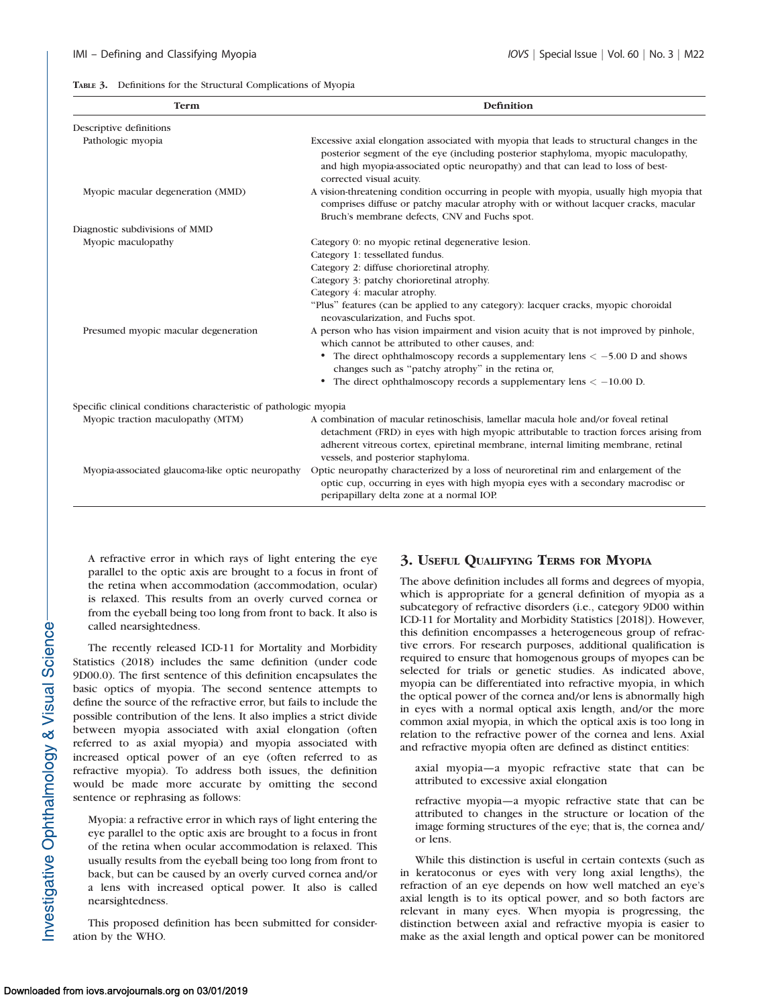|  |  |  |  |  | TABLE 3. Definitions for the Structural Complications of Myopia |  |
|--|--|--|--|--|-----------------------------------------------------------------|--|
|--|--|--|--|--|-----------------------------------------------------------------|--|

| Term                                                             | Definition                                                                                                                                                                                                                                                                                               |
|------------------------------------------------------------------|----------------------------------------------------------------------------------------------------------------------------------------------------------------------------------------------------------------------------------------------------------------------------------------------------------|
| Descriptive definitions                                          |                                                                                                                                                                                                                                                                                                          |
| Pathologic myopia                                                | Excessive axial elongation associated with myopia that leads to structural changes in the<br>posterior segment of the eye (including posterior staphyloma, myopic maculopathy,<br>and high myopia-associated optic neuropathy) and that can lead to loss of best-<br>corrected visual acuity.            |
| Myopic macular degeneration (MMD)                                | A vision-threatening condition occurring in people with myopia, usually high myopia that<br>comprises diffuse or patchy macular atrophy with or without lacquer cracks, macular<br>Bruch's membrane defects, CNV and Fuchs spot.                                                                         |
| Diagnostic subdivisions of MMD                                   |                                                                                                                                                                                                                                                                                                          |
| Myopic maculopathy                                               | Category 0: no myopic retinal degenerative lesion.                                                                                                                                                                                                                                                       |
|                                                                  | Category 1: tessellated fundus.                                                                                                                                                                                                                                                                          |
|                                                                  | Category 2: diffuse chorioretinal atrophy.                                                                                                                                                                                                                                                               |
|                                                                  | Category 3: patchy chorioretinal atrophy.                                                                                                                                                                                                                                                                |
|                                                                  | Category 4: macular atrophy.<br>"Plus" features (can be applied to any category): lacquer cracks, myopic choroidal<br>neovascularization, and Fuchs spot.                                                                                                                                                |
| Presumed myopic macular degeneration                             | A person who has vision impairment and vision acuity that is not improved by pinhole,<br>which cannot be attributed to other causes, and:                                                                                                                                                                |
|                                                                  | The direct ophthalmoscopy records a supplementary lens $<-5.00$ D and shows<br>٠<br>changes such as "patchy atrophy" in the retina or,                                                                                                                                                                   |
|                                                                  | • The direct ophthalmoscopy records a supplementary lens $<-10.00$ D.                                                                                                                                                                                                                                    |
| Specific clinical conditions characteristic of pathologic myopia |                                                                                                                                                                                                                                                                                                          |
| Myopic traction maculopathy (MTM)                                | A combination of macular retinoschisis, lamellar macula hole and/or foveal retinal<br>detachment (FRD) in eyes with high myopic attributable to traction forces arising from<br>adherent vitreous cortex, epiretinal membrane, internal limiting membrane, retinal<br>vessels, and posterior staphyloma. |
| Myopia-associated glaucoma-like optic neuropathy                 | Optic neuropathy characterized by a loss of neuroretinal rim and enlargement of the<br>optic cup, occurring in eyes with high myopia eyes with a secondary macrodisc or<br>peripapillary delta zone at a normal IOP.                                                                                     |

A refractive error in which rays of light entering the eye parallel to the optic axis are brought to a focus in front of the retina when accommodation (accommodation, ocular) is relaxed. This results from an overly curved cornea or from the eyeball being too long from front to back. It also is called nearsightedness.

The recently released ICD-11 for Mortality and Morbidity Statistics (2018) includes the same definition (under code 9D00.0). The first sentence of this definition encapsulates the basic optics of myopia. The second sentence attempts to define the source of the refractive error, but fails to include the possible contribution of the lens. It also implies a strict divide between myopia associated with axial elongation (often referred to as axial myopia) and myopia associated with increased optical power of an eye (often referred to as refractive myopia). To address both issues, the definition would be made more accurate by omitting the second sentence or rephrasing as follows:

Myopia: a refractive error in which rays of light entering the eye parallel to the optic axis are brought to a focus in front of the retina when ocular accommodation is relaxed. This usually results from the eyeball being too long from front to back, but can be caused by an overly curved cornea and/or a lens with increased optical power. It also is called nearsightedness.

This proposed definition has been submitted for consideration by the WHO.

## 3. USEFUL QUALIFYING TERMS FOR MYOPIA

The above definition includes all forms and degrees of myopia, which is appropriate for a general definition of myopia as a subcategory of refractive disorders (i.e., category 9D00 within ICD-11 for Mortality and Morbidity Statistics [2018]). However, this definition encompasses a heterogeneous group of refractive errors. For research purposes, additional qualification is required to ensure that homogenous groups of myopes can be selected for trials or genetic studies. As indicated above, myopia can be differentiated into refractive myopia, in which the optical power of the cornea and/or lens is abnormally high in eyes with a normal optical axis length, and/or the more common axial myopia, in which the optical axis is too long in relation to the refractive power of the cornea and lens. Axial and refractive myopia often are defined as distinct entities:

axial myopia—a myopic refractive state that can be attributed to excessive axial elongation

refractive myopia—a myopic refractive state that can be attributed to changes in the structure or location of the image forming structures of the eye; that is, the cornea and/ or lens.

While this distinction is useful in certain contexts (such as in keratoconus or eyes with very long axial lengths), the refraction of an eye depends on how well matched an eye's axial length is to its optical power, and so both factors are relevant in many eyes. When myopia is progressing, the distinction between axial and refractive myopia is easier to make as the axial length and optical power can be monitored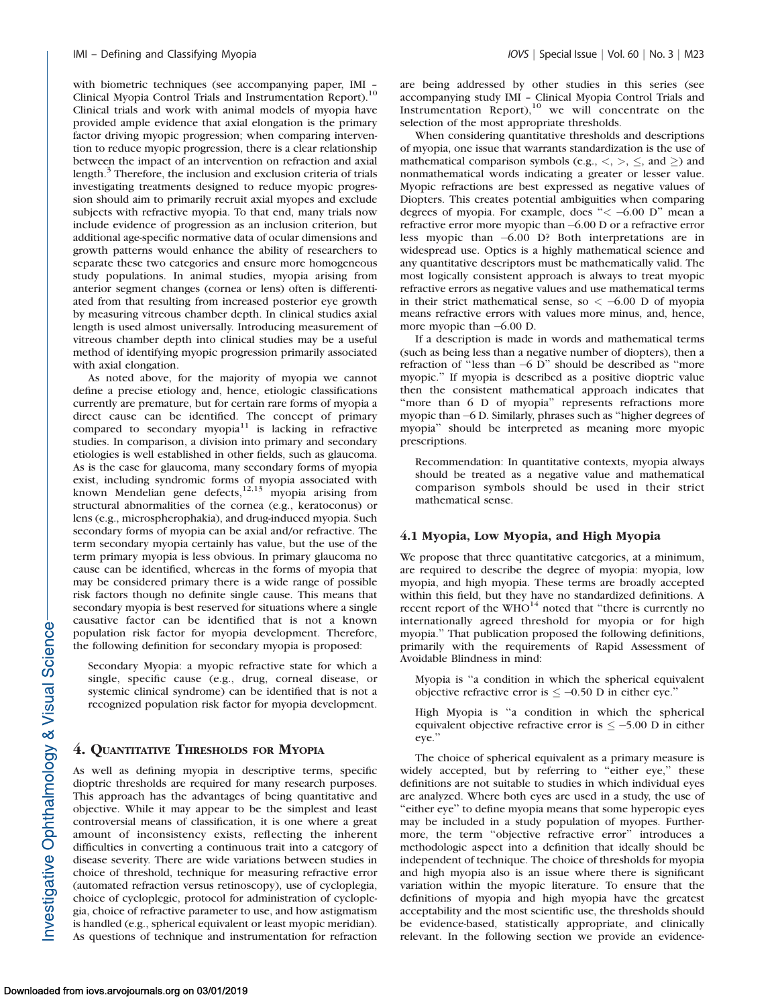with biometric techniques (see accompanying paper, IMI – Clinical Myopia Control Trials and Instrumentation Report).<sup>10</sup> Clinical trials and work with animal models of myopia have provided ample evidence that axial elongation is the primary factor driving myopic progression; when comparing intervention to reduce myopic progression, there is a clear relationship between the impact of an intervention on refraction and axial length.<sup>3</sup> Therefore, the inclusion and exclusion criteria of trials investigating treatments designed to reduce myopic progression should aim to primarily recruit axial myopes and exclude subjects with refractive myopia. To that end, many trials now include evidence of progression as an inclusion criterion, but additional age-specific normative data of ocular dimensions and growth patterns would enhance the ability of researchers to separate these two categories and ensure more homogeneous study populations. In animal studies, myopia arising from anterior segment changes (cornea or lens) often is differentiated from that resulting from increased posterior eye growth by measuring vitreous chamber depth. In clinical studies axial length is used almost universally. Introducing measurement of vitreous chamber depth into clinical studies may be a useful method of identifying myopic progression primarily associated with axial elongation.

As noted above, for the majority of myopia we cannot define a precise etiology and, hence, etiologic classifications currently are premature, but for certain rare forms of myopia a direct cause can be identified. The concept of primary compared to secondary myopia<sup>11</sup> is lacking in refractive studies. In comparison, a division into primary and secondary etiologies is well established in other fields, such as glaucoma. As is the case for glaucoma, many secondary forms of myopia exist, including syndromic forms of myopia associated with known Mendelian gene defects, $12,13$  myopia arising from structural abnormalities of the cornea (e.g., keratoconus) or lens (e.g., microspherophakia), and drug-induced myopia. Such secondary forms of myopia can be axial and/or refractive. The term secondary myopia certainly has value, but the use of the term primary myopia is less obvious. In primary glaucoma no cause can be identified, whereas in the forms of myopia that may be considered primary there is a wide range of possible risk factors though no definite single cause. This means that secondary myopia is best reserved for situations where a single causative factor can be identified that is not a known population risk factor for myopia development. Therefore, the following definition for secondary myopia is proposed:

Secondary Myopia: a myopic refractive state for which a single, specific cause (e.g., drug, corneal disease, or systemic clinical syndrome) can be identified that is not a recognized population risk factor for myopia development.

#### 4. QUANTITATIVE THRESHOLDS FOR MYOPIA

As well as defining myopia in descriptive terms, specific dioptric thresholds are required for many research purposes. This approach has the advantages of being quantitative and objective. While it may appear to be the simplest and least controversial means of classification, it is one where a great amount of inconsistency exists, reflecting the inherent difficulties in converting a continuous trait into a category of disease severity. There are wide variations between studies in choice of threshold, technique for measuring refractive error (automated refraction versus retinoscopy), use of cycloplegia, choice of cycloplegic, protocol for administration of cycloplegia, choice of refractive parameter to use, and how astigmatism is handled (e.g., spherical equivalent or least myopic meridian). As questions of technique and instrumentation for refraction

are being addressed by other studies in this series (see accompanying study IMI – Clinical Myopia Control Trials and Instrumentation  $\text{Report}$ ),<sup>10</sup> we will concentrate on the selection of the most appropriate thresholds.

When considering quantitative thresholds and descriptions of myopia, one issue that warrants standardization is the use of mathematical comparison symbols (e.g.,  $\lt$ ,  $\gt$ ,  $\le$ , and  $\ge$ ) and nonmathematical words indicating a greater or lesser value. Myopic refractions are best expressed as negative values of Diopters. This creates potential ambiguities when comparing degrees of myopia. For example, does " $< -6.00$  D" mean a refractive error more myopic than  $-6.00$  D or a refractive error less myopic than 6.00 D? Both interpretations are in widespread use. Optics is a highly mathematical science and any quantitative descriptors must be mathematically valid. The most logically consistent approach is always to treat myopic refractive errors as negative values and use mathematical terms in their strict mathematical sense, so  $< -6.00$  D of myopia means refractive errors with values more minus, and, hence, more myopic than  $-6.00$  D.

If a description is made in words and mathematical terms (such as being less than a negative number of diopters), then a refraction of "less than  $-6$  D" should be described as "more myopic.'' If myopia is described as a positive dioptric value then the consistent mathematical approach indicates that "more than 6 D of myopia" represents refractions more myopic than -6 D. Similarly, phrases such as "higher degrees of myopia'' should be interpreted as meaning more myopic prescriptions.

Recommendation: In quantitative contexts, myopia always should be treated as a negative value and mathematical comparison symbols should be used in their strict mathematical sense.

#### 4.1 Myopia, Low Myopia, and High Myopia

We propose that three quantitative categories, at a minimum, are required to describe the degree of myopia: myopia, low myopia, and high myopia. These terms are broadly accepted within this field, but they have no standardized definitions. A recent report of the  $WHO^{14}$  noted that "there is currently no internationally agreed threshold for myopia or for high myopia.'' That publication proposed the following definitions, primarily with the requirements of Rapid Assessment of Avoidable Blindness in mind:

Myopia is ''a condition in which the spherical equivalent objective refractive error is  $\leq -0.50$  D in either eye."

High Myopia is ''a condition in which the spherical equivalent objective refractive error is  $\le$  -5.00 D in either eye.''

The choice of spherical equivalent as a primary measure is widely accepted, but by referring to "either eye," these definitions are not suitable to studies in which individual eyes are analyzed. Where both eyes are used in a study, the use of ''either eye'' to define myopia means that some hyperopic eyes may be included in a study population of myopes. Furthermore, the term ''objective refractive error'' introduces a methodologic aspect into a definition that ideally should be independent of technique. The choice of thresholds for myopia and high myopia also is an issue where there is significant variation within the myopic literature. To ensure that the definitions of myopia and high myopia have the greatest acceptability and the most scientific use, the thresholds should be evidence-based, statistically appropriate, and clinically relevant. In the following section we provide an evidence-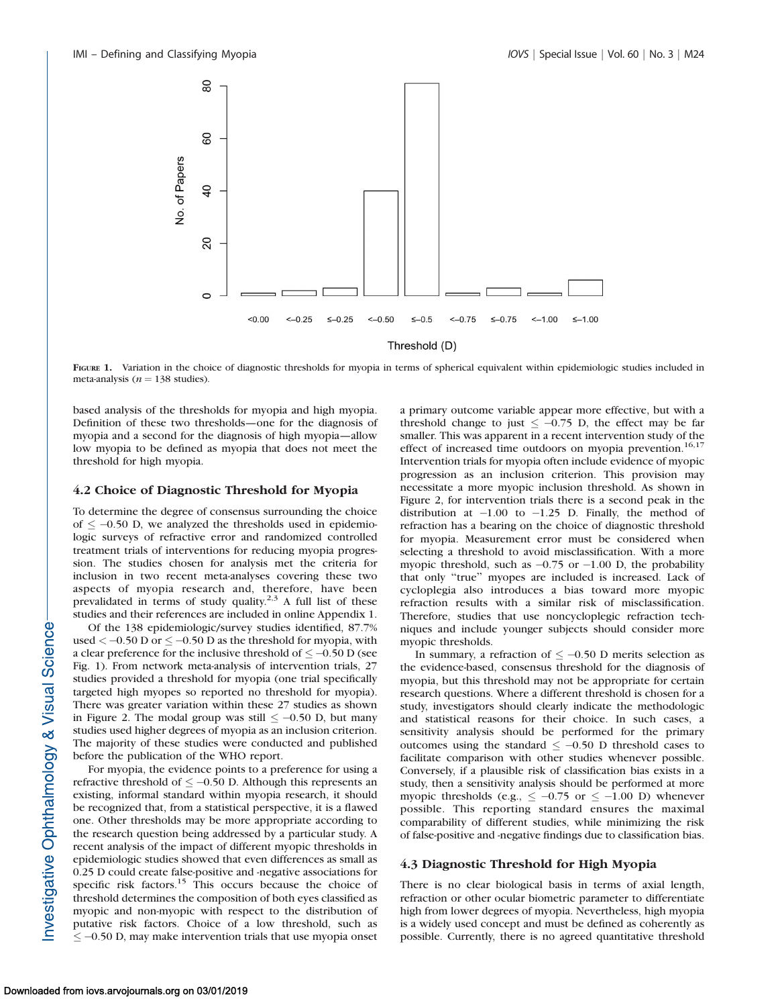

FIGURE 1. Variation in the choice of diagnostic thresholds for myopia in terms of spherical equivalent within epidemiologic studies included in meta-analysis ( $n = 138$  studies).

based analysis of the thresholds for myopia and high myopia. Definition of these two thresholds—one for the diagnosis of myopia and a second for the diagnosis of high myopia—allow low myopia to be defined as myopia that does not meet the threshold for high myopia.

## 4.2 Choice of Diagnostic Threshold for Myopia

To determine the degree of consensus surrounding the choice of  $\leq -0.50$  D, we analyzed the thresholds used in epidemiologic surveys of refractive error and randomized controlled treatment trials of interventions for reducing myopia progression. The studies chosen for analysis met the criteria for inclusion in two recent meta-analyses covering these two aspects of myopia research and, therefore, have been prevalidated in terms of study quality.<sup>2,3</sup> A full list of these studies and their references are included in online Appendix 1.

Of the 138 epidemiologic/survey studies identified, 87.7% used  $<-0.50$  D or  $\leq -0.50$  D as the threshold for myopia, with a clear preference for the inclusive threshold of  $\leq -0.50$  D (see Fig. 1). From network meta-analysis of intervention trials, 27 studies provided a threshold for myopia (one trial specifically targeted high myopes so reported no threshold for myopia). There was greater variation within these 27 studies as shown in Figure 2. The modal group was still  $\leq -0.50$  D, but many studies used higher degrees of myopia as an inclusion criterion. The majority of these studies were conducted and published before the publication of the WHO report.

For myopia, the evidence points to a preference for using a refractive threshold of  $\leq -0.50$  D. Although this represents an existing, informal standard within myopia research, it should be recognized that, from a statistical perspective, it is a flawed one. Other thresholds may be more appropriate according to the research question being addressed by a particular study. A recent analysis of the impact of different myopic thresholds in epidemiologic studies showed that even differences as small as 0.25 D could create false-positive and -negative associations for specific risk factors.<sup>15</sup> This occurs because the choice of threshold determines the composition of both eyes classified as myopic and non-myopic with respect to the distribution of putative risk factors. Choice of a low threshold, such as  $\leq$  -0.50 D, may make intervention trials that use myopia onset a primary outcome variable appear more effective, but with a threshold change to just  $\leq -0.75$  D, the effect may be far smaller. This was apparent in a recent intervention study of the effect of increased time outdoors on myopia prevention.<sup>16,17</sup> Intervention trials for myopia often include evidence of myopic progression as an inclusion criterion. This provision may necessitate a more myopic inclusion threshold. As shown in Figure 2, for intervention trials there is a second peak in the distribution at  $-1.00$  to  $-1.25$  D. Finally, the method of refraction has a bearing on the choice of diagnostic threshold for myopia. Measurement error must be considered when selecting a threshold to avoid misclassification. With a more myopic threshold, such as  $-0.75$  or  $-1.00$  D, the probability that only ''true'' myopes are included is increased. Lack of cycloplegia also introduces a bias toward more myopic refraction results with a similar risk of misclassification. Therefore, studies that use noncycloplegic refraction techniques and include younger subjects should consider more myopic thresholds.

In summary, a refraction of  $\leq -0.50$  D merits selection as the evidence-based, consensus threshold for the diagnosis of myopia, but this threshold may not be appropriate for certain research questions. Where a different threshold is chosen for a study, investigators should clearly indicate the methodologic and statistical reasons for their choice. In such cases, a sensitivity analysis should be performed for the primary outcomes using the standard  $\leq -0.50$  D threshold cases to facilitate comparison with other studies whenever possible. Conversely, if a plausible risk of classification bias exists in a study, then a sensitivity analysis should be performed at more myopic thresholds (e.g.,  $\leq -0.75$  or  $\leq -1.00$  D) whenever possible. This reporting standard ensures the maximal comparability of different studies, while minimizing the risk of false-positive and -negative findings due to classification bias.

#### 4.3 Diagnostic Threshold for High Myopia

There is no clear biological basis in terms of axial length, refraction or other ocular biometric parameter to differentiate high from lower degrees of myopia. Nevertheless, high myopia is a widely used concept and must be defined as coherently as possible. Currently, there is no agreed quantitative threshold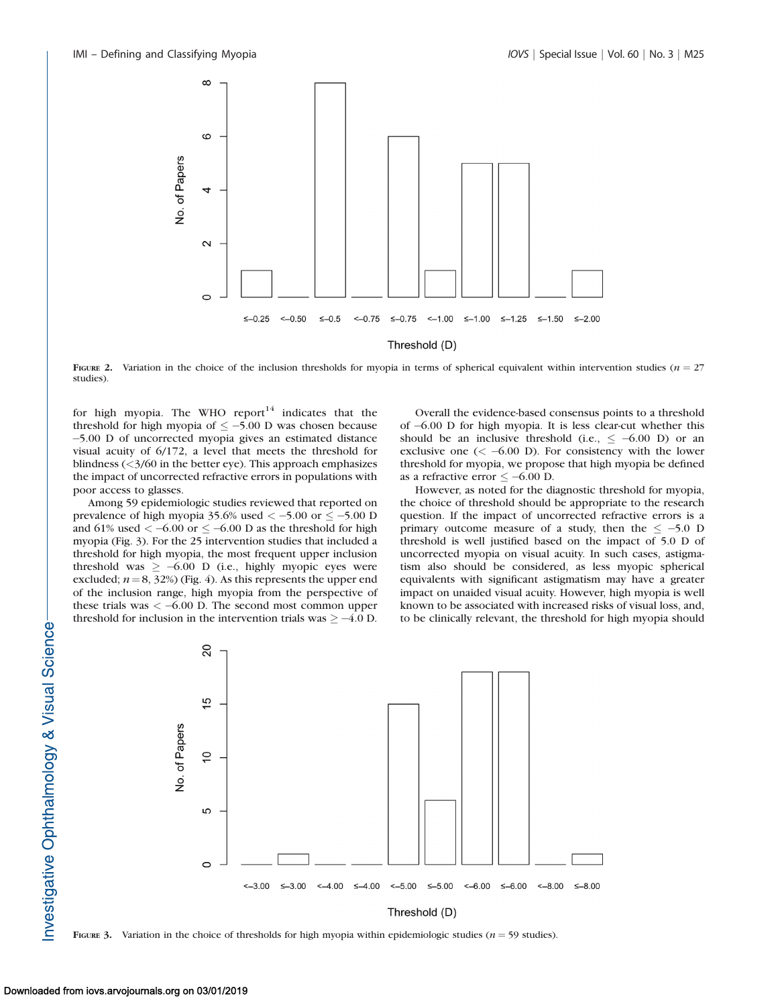

FIGURE 2. Variation in the choice of the inclusion thresholds for myopia in terms of spherical equivalent within intervention studies ( $n = 27$ studies).

for high myopia. The WHO report $14$  indicates that the threshold for high myopia of  $\leq -5.00$  D was chosen because 5.00 D of uncorrected myopia gives an estimated distance visual acuity of 6/172, a level that meets the threshold for blindness  $\left(\frac{3}{60} \text{ in the better eye}\right)$ . This approach emphasizes the impact of uncorrected refractive errors in populations with poor access to glasses.

Among 59 epidemiologic studies reviewed that reported on prevalence of high myopia 35.6% used  $\lt$  -5.00 or  $\le$  -5.00 D and 61% used  $<-6.00$  or  $\leq -6.00$  D as the threshold for high myopia (Fig. 3). For the 25 intervention studies that included a threshold for high myopia, the most frequent upper inclusion threshold was  $\geq -6.00$  D (i.e., highly myopic eyes were excluded;  $n = 8$ , 32%) (Fig. 4). As this represents the upper end of the inclusion range, high myopia from the perspective of these trials was  $<-6.00$  D. The second most common upper threshold for inclusion in the intervention trials was  $\geq -4.0$  D.

Overall the evidence-based consensus points to a threshold of 6.00 D for high myopia. It is less clear-cut whether this should be an inclusive threshold (i.e.,  $\leq -6.00$  D) or an exclusive one  $(< -6.00 \text{ D})$ . For consistency with the lower threshold for myopia, we propose that high myopia be defined as a refractive error  $\leq -6.00$  D.

However, as noted for the diagnostic threshold for myopia, the choice of threshold should be appropriate to the research question. If the impact of uncorrected refractive errors is a primary outcome measure of a study, then the  $\le -5.0$  D threshold is well justified based on the impact of 5.0 D of uncorrected myopia on visual acuity. In such cases, astigmatism also should be considered, as less myopic spherical equivalents with significant astigmatism may have a greater impact on unaided visual acuity. However, high myopia is well known to be associated with increased risks of visual loss, and, to be clinically relevant, the threshold for high myopia should



FIGURE 3. Variation in the choice of thresholds for high myopia within epidemiologic studies ( $n = 59$  studies).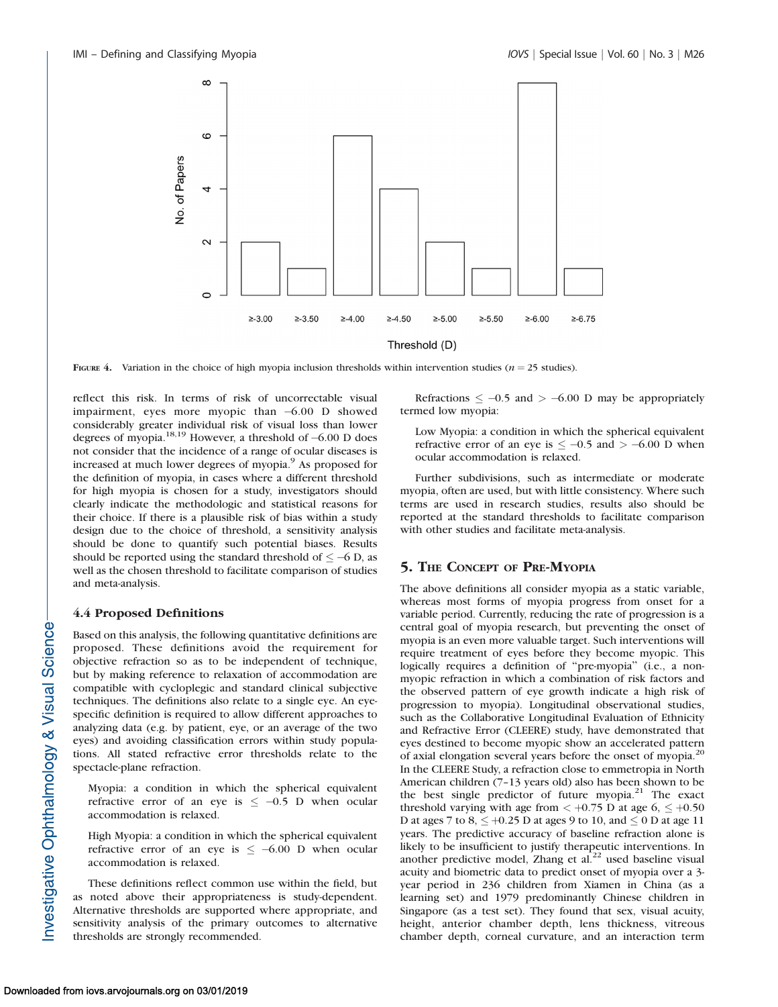

FIGURE 4. Variation in the choice of high myopia inclusion thresholds within intervention studies ( $n = 25$  studies).

reflect this risk. In terms of risk of uncorrectable visual impairment, eyes more myopic than  $-6.00$  D showed considerably greater individual risk of visual loss than lower degrees of myopia.<sup>18,19</sup> However, a threshold of  $-6.00$  D does not consider that the incidence of a range of ocular diseases is increased at much lower degrees of myopia.<sup>9</sup> As proposed for the definition of myopia, in cases where a different threshold for high myopia is chosen for a study, investigators should clearly indicate the methodologic and statistical reasons for their choice. If there is a plausible risk of bias within a study design due to the choice of threshold, a sensitivity analysis should be done to quantify such potential biases. Results should be reported using the standard threshold of  $\leq -6$  D, as well as the chosen threshold to facilitate comparison of studies and meta-analysis.

#### 4.4 Proposed Definitions

Based on this analysis, the following quantitative definitions are proposed. These definitions avoid the requirement for objective refraction so as to be independent of technique, but by making reference to relaxation of accommodation are compatible with cycloplegic and standard clinical subjective techniques. The definitions also relate to a single eye. An eyespecific definition is required to allow different approaches to analyzing data (e.g. by patient, eye, or an average of the two eyes) and avoiding classification errors within study populations. All stated refractive error thresholds relate to the spectacle-plane refraction.

Myopia: a condition in which the spherical equivalent refractive error of an eye is  $\leq -0.5$  D when ocular accommodation is relaxed.

High Myopia: a condition in which the spherical equivalent refractive error of an eye is  $\le -6.00$  D when ocular accommodation is relaxed.

These definitions reflect common use within the field, but as noted above their appropriateness is study-dependent. Alternative thresholds are supported where appropriate, and sensitivity analysis of the primary outcomes to alternative thresholds are strongly recommended.

Refractions  $\leq -0.5$  and  $> -6.00$  D may be appropriately termed low myopia:

Low Myopia: a condition in which the spherical equivalent refractive error of an eye is  $\leq -0.5$  and  $> -6.00$  D when ocular accommodation is relaxed.

Further subdivisions, such as intermediate or moderate myopia, often are used, but with little consistency. Where such terms are used in research studies, results also should be reported at the standard thresholds to facilitate comparison with other studies and facilitate meta-analysis.

## 5. THE CONCEPT OF PRE-MYOPIA

The above definitions all consider myopia as a static variable, whereas most forms of myopia progress from onset for a variable period. Currently, reducing the rate of progression is a central goal of myopia research, but preventing the onset of myopia is an even more valuable target. Such interventions will require treatment of eyes before they become myopic. This logically requires a definition of "pre-myopia" (i.e., a nonmyopic refraction in which a combination of risk factors and the observed pattern of eye growth indicate a high risk of progression to myopia). Longitudinal observational studies, such as the Collaborative Longitudinal Evaluation of Ethnicity and Refractive Error (CLEERE) study, have demonstrated that eyes destined to become myopic show an accelerated pattern of axial elongation several years before the onset of myopia.<sup>20</sup> In the CLEERE Study, a refraction close to emmetropia in North American children (7–13 years old) also has been shown to be the best single predictor of future myopia. $21$  The exact threshold varying with age from  $< +0.75$  D at age  $6, \le +0.50$ D at ages 7 to  $8 \leq +0.25$  D at ages 9 to 10, and  $\leq 0$  D at age 11 years. The predictive accuracy of baseline refraction alone is likely to be insufficient to justify therapeutic interventions. In another predictive model, Zhang et al.<sup>22</sup> used baseline visual acuity and biometric data to predict onset of myopia over a 3 year period in 236 children from Xiamen in China (as a learning set) and 1979 predominantly Chinese children in Singapore (as a test set). They found that sex, visual acuity, height, anterior chamber depth, lens thickness, vitreous chamber depth, corneal curvature, and an interaction term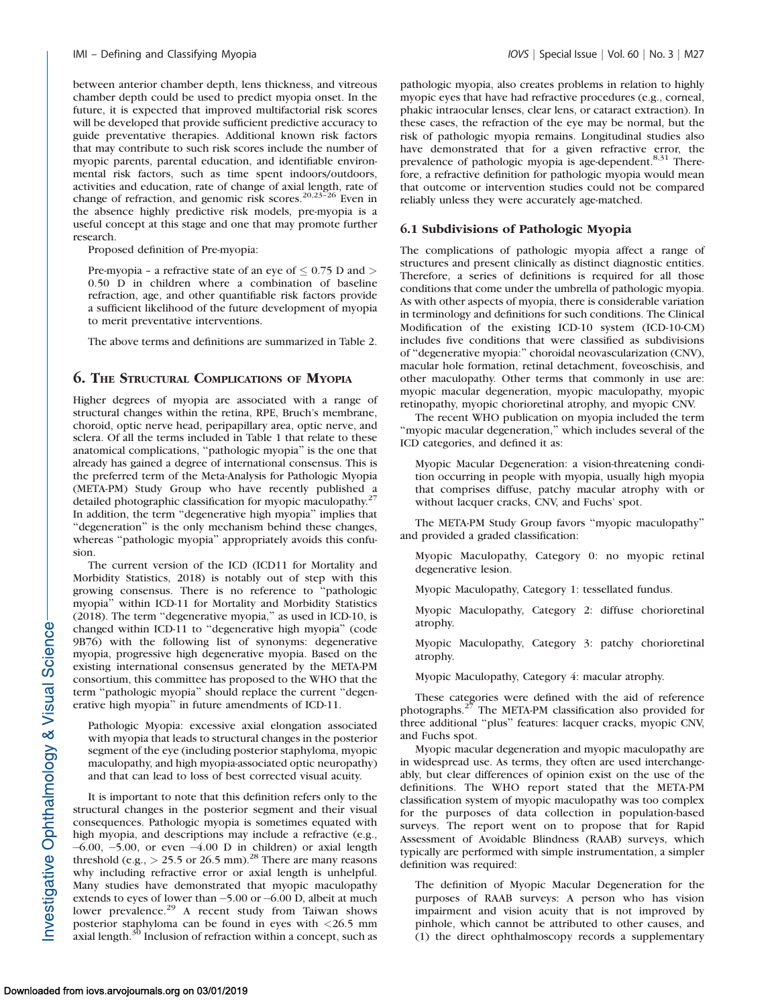between anterior chamber depth, lens thickness, and vitreous chamber depth could be used to predict myopia onset. In the future, it is expected that improved multifactorial risk scores will be developed that provide sufficient predictive accuracy to guide preventative therapies. Additional known risk factors that may contribute to such risk scores include the number of myopic parents, parental education, and identifiable environmental risk factors, such as time spent indoors/outdoors, activities and education, rate of change of axial length, rate of change of refraction, and genomic risk scores.<sup>20,23-26</sup> Even in the absence highly predictive risk models, pre-myopia is a useful concept at this stage and one that may promote further research.

Proposed definition of Pre-myopia:

Pre-myopia – a refractive state of an eye of  $\leq$  0.75 D and  $>$ 0.50 D in children where a combination of baseline refraction, age, and other quantifiable risk factors provide a sufficient likelihood of the future development of myopia to merit preventative interventions.

The above terms and definitions are summarized in Table 2.

#### 6. THE STRUCTURAL COMPLICATIONS OF MYOPIA

Higher degrees of myopia are associated with a range of structural changes within the retina, RPE, Bruch's membrane, choroid, optic nerve head, peripapillary area, optic nerve, and sclera. Of all the terms included in Table 1 that relate to these anatomical complications, ''pathologic myopia'' is the one that already has gained a degree of international consensus. This is the preferred term of the Meta-Analysis for Pathologic Myopia (META-PM) Study Group who have recently published a detailed photographic classification for myopic maculopathy.<sup>27</sup> In addition, the term ''degenerative high myopia'' implies that ''degeneration'' is the only mechanism behind these changes, whereas "pathologic myopia" appropriately avoids this confusion.

The current version of the ICD (ICD11 for Mortality and Morbidity Statistics, 2018) is notably out of step with this growing consensus. There is no reference to ''pathologic myopia'' within ICD-11 for Mortality and Morbidity Statistics (2018). The term ''degenerative myopia,'' as used in ICD-10, is changed within ICD-11 to ''degenerative high myopia'' (code 9B76) with the following list of synonyms: degenerative myopia, progressive high degenerative myopia. Based on the existing international consensus generated by the META-PM consortium, this committee has proposed to the WHO that the term ''pathologic myopia'' should replace the current ''degenerative high myopia'' in future amendments of ICD-11.

Pathologic Myopia: excessive axial elongation associated with myopia that leads to structural changes in the posterior segment of the eye (including posterior staphyloma, myopic maculopathy, and high myopia-associated optic neuropathy) and that can lead to loss of best corrected visual acuity.

It is important to note that this definition refers only to the structural changes in the posterior segment and their visual consequences. Pathologic myopia is sometimes equated with high myopia, and descriptions may include a refractive (e.g.,  $-6.00$ ,  $-5.00$ , or even  $-4.00$  D in children) or axial length threshold (e.g.,  $>$  25.5 or 26.5 mm).<sup>28</sup> There are many reasons why including refractive error or axial length is unhelpful. Many studies have demonstrated that myopic maculopathy extends to eyes of lower than  $-5.00$  or  $-6.00$  D, albeit at much lower prevalence.<sup>29</sup> A recent study from Taiwan shows posterior staphyloma can be found in eyes with <26.5 mm axial length.<sup>30</sup> Inclusion of refraction within a concept, such as pathologic myopia, also creates problems in relation to highly myopic eyes that have had refractive procedures (e.g., corneal, phakic intraocular lenses, clear lens, or cataract extraction). In these cases, the refraction of the eye may be normal, but the risk of pathologic myopia remains. Longitudinal studies also have demonstrated that for a given refractive error, the prevalence of pathologic myopia is age-dependent. $8,31$  Therefore, a refractive definition for pathologic myopia would mean that outcome or intervention studies could not be compared reliably unless they were accurately age-matched.

#### 6.1 Subdivisions of Pathologic Myopia

The complications of pathologic myopia affect a range of structures and present clinically as distinct diagnostic entities. Therefore, a series of definitions is required for all those conditions that come under the umbrella of pathologic myopia. As with other aspects of myopia, there is considerable variation in terminology and definitions for such conditions. The Clinical Modification of the existing ICD-10 system (ICD-10-CM) includes five conditions that were classified as subdivisions of ''degenerative myopia:'' choroidal neovascularization (CNV), macular hole formation, retinal detachment, foveoschisis, and other maculopathy. Other terms that commonly in use are: myopic macular degeneration, myopic maculopathy, myopic retinopathy, myopic chorioretinal atrophy, and myopic CNV.

The recent WHO publication on myopia included the term ''myopic macular degeneration,'' which includes several of the ICD categories, and defined it as:

Myopic Macular Degeneration: a vision-threatening condition occurring in people with myopia, usually high myopia that comprises diffuse, patchy macular atrophy with or without lacquer cracks, CNV, and Fuchs' spot.

The META-PM Study Group favors ''myopic maculopathy'' and provided a graded classification:

Myopic Maculopathy, Category 0: no myopic retinal degenerative lesion.

Myopic Maculopathy, Category 1: tessellated fundus.

Myopic Maculopathy, Category 2: diffuse chorioretinal atrophy.

Myopic Maculopathy, Category 3: patchy chorioretinal atrophy.

Myopic Maculopathy, Category 4: macular atrophy.

These categories were defined with the aid of reference photographs.<sup>27</sup> The META-PM classification also provided for three additional ''plus'' features: lacquer cracks, myopic CNV, and Fuchs spot.

Myopic macular degeneration and myopic maculopathy are in widespread use. As terms, they often are used interchangeably, but clear differences of opinion exist on the use of the definitions. The WHO report stated that the META-PM classification system of myopic maculopathy was too complex for the purposes of data collection in population-based surveys. The report went on to propose that for Rapid Assessment of Avoidable Blindness (RAAB) surveys, which typically are performed with simple instrumentation, a simpler definition was required:

The definition of Myopic Macular Degeneration for the purposes of RAAB surveys: A person who has vision impairment and vision acuity that is not improved by pinhole, which cannot be attributed to other causes, and (1) the direct ophthalmoscopy records a supplementary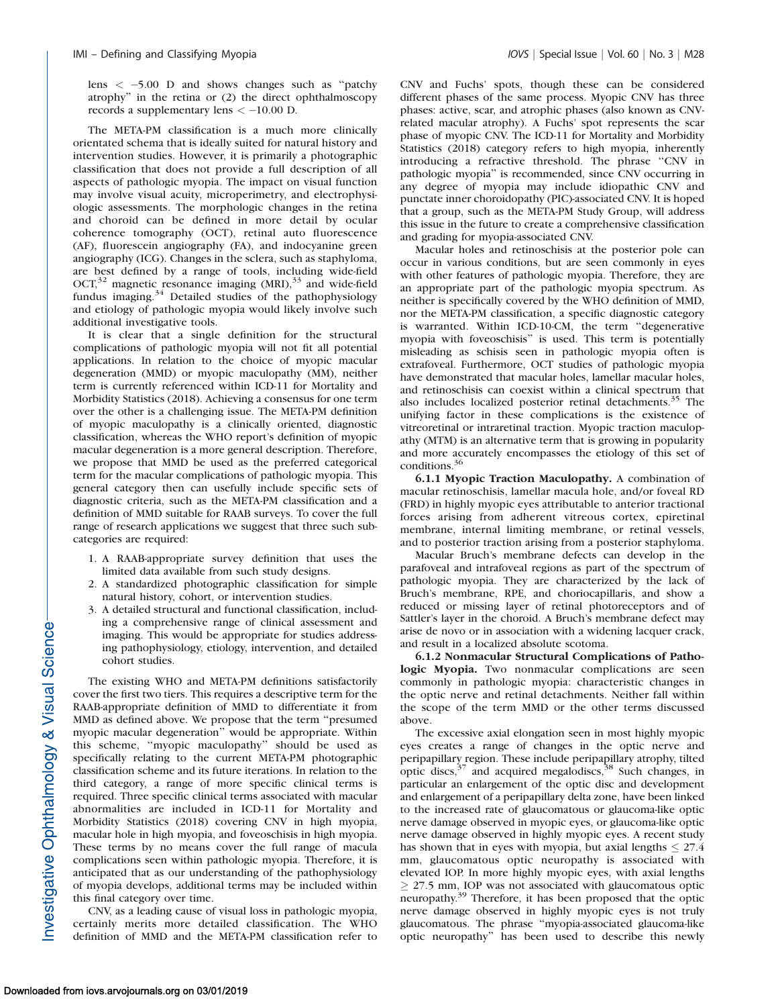lens  $\lt$  -5.00 D and shows changes such as "patchy atrophy'' in the retina or (2) the direct ophthalmoscopy records a supplementary lens  $<-10.00$  D.

The META-PM classification is a much more clinically orientated schema that is ideally suited for natural history and intervention studies. However, it is primarily a photographic classification that does not provide a full description of all aspects of pathologic myopia. The impact on visual function may involve visual acuity, microperimetry, and electrophysiologic assessments. The morphologic changes in the retina and choroid can be defined in more detail by ocular coherence tomography (OCT), retinal auto fluorescence (AF), fluorescein angiography (FA), and indocyanine green angiography (ICG). Changes in the sclera, such as staphyloma, are best defined by a range of tools, including wide-field  $OCT<sub>32</sub>$  magnetic resonance imaging (MRI),<sup>33</sup> and wide-field fundus imaging. $34$  Detailed studies of the pathophysiology and etiology of pathologic myopia would likely involve such additional investigative tools.

It is clear that a single definition for the structural complications of pathologic myopia will not fit all potential applications. In relation to the choice of myopic macular degeneration (MMD) or myopic maculopathy (MM), neither term is currently referenced within ICD-11 for Mortality and Morbidity Statistics (2018). Achieving a consensus for one term over the other is a challenging issue. The META-PM definition of myopic maculopathy is a clinically oriented, diagnostic classification, whereas the WHO report's definition of myopic macular degeneration is a more general description. Therefore, we propose that MMD be used as the preferred categorical term for the macular complications of pathologic myopia. This general category then can usefully include specific sets of diagnostic criteria, such as the META-PM classification and a definition of MMD suitable for RAAB surveys. To cover the full range of research applications we suggest that three such subcategories are required:

- 1. A RAAB-appropriate survey definition that uses the limited data available from such study designs.
- 2. A standardized photographic classification for simple natural history, cohort, or intervention studies.
- 3. A detailed structural and functional classification, including a comprehensive range of clinical assessment and imaging. This would be appropriate for studies addressing pathophysiology, etiology, intervention, and detailed cohort studies.

The existing WHO and META-PM definitions satisfactorily cover the first two tiers. This requires a descriptive term for the RAAB-appropriate definition of MMD to differentiate it from MMD as defined above. We propose that the term ''presumed myopic macular degeneration'' would be appropriate. Within this scheme, ''myopic maculopathy'' should be used as specifically relating to the current META-PM photographic classification scheme and its future iterations. In relation to the third category, a range of more specific clinical terms is required. Three specific clinical terms associated with macular abnormalities are included in ICD-11 for Mortality and Morbidity Statistics (2018) covering CNV in high myopia, macular hole in high myopia, and foveoschisis in high myopia. These terms by no means cover the full range of macula complications seen within pathologic myopia. Therefore, it is anticipated that as our understanding of the pathophysiology of myopia develops, additional terms may be included within this final category over time.

CNV, as a leading cause of visual loss in pathologic myopia, certainly merits more detailed classification. The WHO definition of MMD and the META-PM classification refer to CNV and Fuchs' spots, though these can be considered different phases of the same process. Myopic CNV has three phases: active, scar, and atrophic phases (also known as CNVrelated macular atrophy). A Fuchs' spot represents the scar phase of myopic CNV. The ICD-11 for Mortality and Morbidity Statistics (2018) category refers to high myopia, inherently introducing a refractive threshold. The phrase ''CNV in pathologic myopia'' is recommended, since CNV occurring in any degree of myopia may include idiopathic CNV and punctate inner choroidopathy (PIC)-associated CNV. It is hoped that a group, such as the META-PM Study Group, will address this issue in the future to create a comprehensive classification and grading for myopia-associated CNV.

Macular holes and retinoschisis at the posterior pole can occur in various conditions, but are seen commonly in eyes with other features of pathologic myopia. Therefore, they are an appropriate part of the pathologic myopia spectrum. As neither is specifically covered by the WHO definition of MMD, nor the META-PM classification, a specific diagnostic category is warranted. Within ICD-10-CM, the term ''degenerative myopia with foveoschisis'' is used. This term is potentially misleading as schisis seen in pathologic myopia often is extrafoveal. Furthermore, OCT studies of pathologic myopia have demonstrated that macular holes, lamellar macular holes, and retinoschisis can coexist within a clinical spectrum that also includes localized posterior retinal detachments.<sup>35</sup> The unifying factor in these complications is the existence of vitreoretinal or intraretinal traction. Myopic traction maculopathy (MTM) is an alternative term that is growing in popularity and more accurately encompasses the etiology of this set of conditions.<sup>36</sup>

6.1.1 Myopic Traction Maculopathy. A combination of macular retinoschisis, lamellar macula hole, and/or foveal RD (FRD) in highly myopic eyes attributable to anterior tractional forces arising from adherent vitreous cortex, epiretinal membrane, internal limiting membrane, or retinal vessels, and to posterior traction arising from a posterior staphyloma.

Macular Bruch's membrane defects can develop in the parafoveal and intrafoveal regions as part of the spectrum of pathologic myopia. They are characterized by the lack of Bruch's membrane, RPE, and choriocapillaris, and show a reduced or missing layer of retinal photoreceptors and of Sattler's layer in the choroid. A Bruch's membrane defect may arise de novo or in association with a widening lacquer crack, and result in a localized absolute scotoma.

6.1.2 Nonmacular Structural Complications of Pathologic Myopia. Two nonmacular complications are seen commonly in pathologic myopia: characteristic changes in the optic nerve and retinal detachments. Neither fall within the scope of the term MMD or the other terms discussed above.

The excessive axial elongation seen in most highly myopic eyes creates a range of changes in the optic nerve and peripapillary region. These include peripapillary atrophy, tilted perpapinary region. These include perpapinary attophy, three optic discs,  $3^8$  Such changes, in particular an enlargement of the optic disc and development and enlargement of a peripapillary delta zone, have been linked to the increased rate of glaucomatous or glaucoma-like optic nerve damage observed in myopic eyes, or glaucoma-like optic nerve damage observed in highly myopic eyes. A recent study has shown that in eyes with myopia, but axial lengths  $\leq 27.4$ mm, glaucomatous optic neuropathy is associated with elevated IOP. In more highly myopic eyes, with axial lengths  $\geq$  27.5 mm, IOP was not associated with glaucomatous optic neuropathy.39 Therefore, it has been proposed that the optic nerve damage observed in highly myopic eyes is not truly glaucomatous. The phrase ''myopia-associated glaucoma-like optic neuropathy'' has been used to describe this newly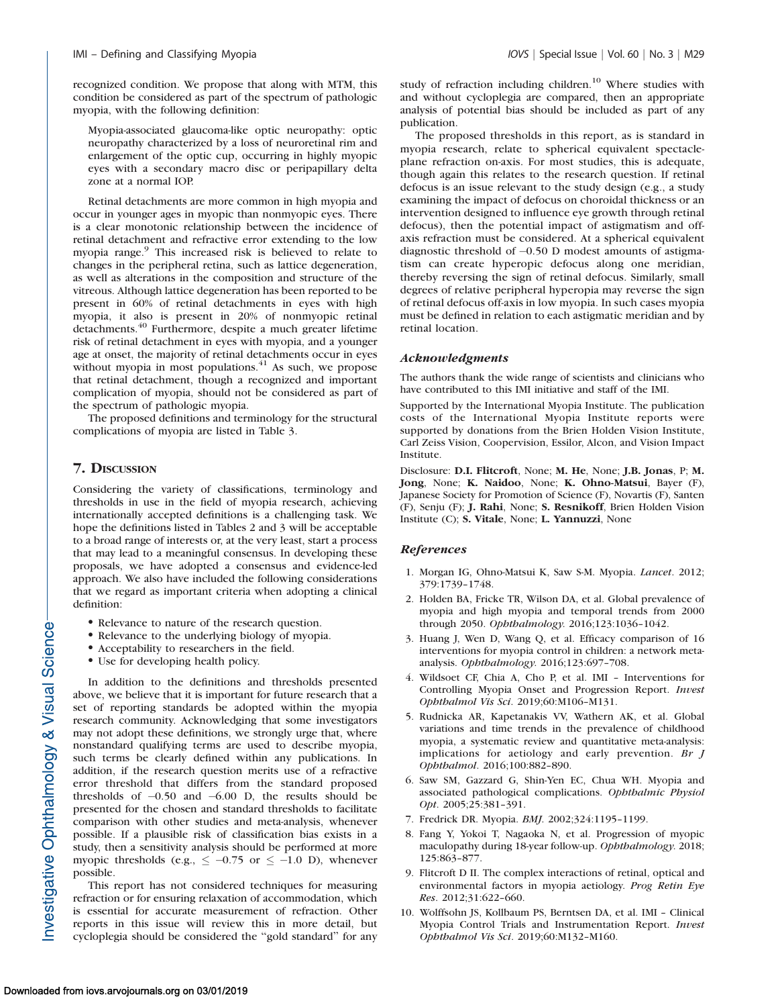recognized condition. We propose that along with MTM, this condition be considered as part of the spectrum of pathologic myopia, with the following definition:

Myopia-associated glaucoma-like optic neuropathy: optic neuropathy characterized by a loss of neuroretinal rim and enlargement of the optic cup, occurring in highly myopic eyes with a secondary macro disc or peripapillary delta zone at a normal IOP.

Retinal detachments are more common in high myopia and occur in younger ages in myopic than nonmyopic eyes. There is a clear monotonic relationship between the incidence of retinal detachment and refractive error extending to the low myopia range.<sup>9</sup> This increased risk is believed to relate to changes in the peripheral retina, such as lattice degeneration, as well as alterations in the composition and structure of the vitreous. Although lattice degeneration has been reported to be present in 60% of retinal detachments in eyes with high myopia, it also is present in 20% of nonmyopic retinal detachments.<sup>40</sup> Furthermore, despite a much greater lifetime risk of retinal detachment in eyes with myopia, and a younger age at onset, the majority of retinal detachments occur in eyes without myopia in most populations.<sup>41</sup> As such, we propose that retinal detachment, though a recognized and important complication of myopia, should not be considered as part of the spectrum of pathologic myopia.

The proposed definitions and terminology for the structural complications of myopia are listed in Table 3.

## 7. DISCUSSION

Considering the variety of classifications, terminology and thresholds in use in the field of myopia research, achieving internationally accepted definitions is a challenging task. We hope the definitions listed in Tables 2 and 3 will be acceptable to a broad range of interests or, at the very least, start a process that may lead to a meaningful consensus. In developing these proposals, we have adopted a consensus and evidence-led approach. We also have included the following considerations that we regard as important criteria when adopting a clinical definition:

- Relevance to nature of the research question.
- Relevance to the underlying biology of myopia.
- Acceptability to researchers in the field.
- Use for developing health policy.

In addition to the definitions and thresholds presented above, we believe that it is important for future research that a set of reporting standards be adopted within the myopia research community. Acknowledging that some investigators may not adopt these definitions, we strongly urge that, where nonstandard qualifying terms are used to describe myopia, such terms be clearly defined within any publications. In addition, if the research question merits use of a refractive error threshold that differs from the standard proposed thresholds of  $-0.50$  and  $-6.00$  D, the results should be presented for the chosen and standard thresholds to facilitate comparison with other studies and meta-analysis, whenever possible. If a plausible risk of classification bias exists in a study, then a sensitivity analysis should be performed at more myopic thresholds (e.g.,  $\leq -0.75$  or  $\leq -1.0$  D), whenever possible.

This report has not considered techniques for measuring refraction or for ensuring relaxation of accommodation, which is essential for accurate measurement of refraction. Other reports in this issue will review this in more detail, but cycloplegia should be considered the ''gold standard'' for any

study of refraction including children.<sup>10</sup> Where studies with and without cycloplegia are compared, then an appropriate analysis of potential bias should be included as part of any publication.

The proposed thresholds in this report, as is standard in myopia research, relate to spherical equivalent spectacleplane refraction on-axis. For most studies, this is adequate, though again this relates to the research question. If retinal defocus is an issue relevant to the study design (e.g., a study examining the impact of defocus on choroidal thickness or an intervention designed to influence eye growth through retinal defocus), then the potential impact of astigmatism and offaxis refraction must be considered. At a spherical equivalent diagnostic threshold of  $-0.50$  D modest amounts of astigmatism can create hyperopic defocus along one meridian, thereby reversing the sign of retinal defocus. Similarly, small degrees of relative peripheral hyperopia may reverse the sign of retinal defocus off-axis in low myopia. In such cases myopia must be defined in relation to each astigmatic meridian and by retinal location.

#### Acknowledgments

The authors thank the wide range of scientists and clinicians who have contributed to this IMI initiative and staff of the IMI.

Supported by the International Myopia Institute. The publication costs of the International Myopia Institute reports were supported by donations from the Brien Holden Vision Institute, Carl Zeiss Vision, Coopervision, Essilor, Alcon, and Vision Impact Institute.

Disclosure: D.I. Flitcroft, None; M. He, None; J.B. Jonas, P; M. Jong, None; K. Naidoo, None; K. Ohno-Matsui, Bayer (F), Japanese Society for Promotion of Science (F), Novartis (F), Santen (F), Senju (F); J. Rahi, None; S. Resnikoff, Brien Holden Vision Institute (C); S. Vitale, None; L. Yannuzzi, None

#### References

- 1. Morgan IG, Ohno-Matsui K, Saw S-M. Myopia. Lancet. 2012; 379:1739–1748.
- 2. Holden BA, Fricke TR, Wilson DA, et al. Global prevalence of myopia and high myopia and temporal trends from 2000 through 2050. Ophthalmology. 2016;123:1036–1042.
- 3. Huang J, Wen D, Wang Q, et al. Efficacy comparison of 16 interventions for myopia control in children: a network metaanalysis. Ophthalmology. 2016;123:697–708.
- 4. Wildsoet CF, Chia A, Cho P, et al. IMI Interventions for Controlling Myopia Onset and Progression Report. Invest Ophthalmol Vis Sci. 2019;60:M106–M131.
- 5. Rudnicka AR, Kapetanakis VV, Wathern AK, et al. Global variations and time trends in the prevalence of childhood myopia, a systematic review and quantitative meta-analysis: implications for aetiology and early prevention. Br J Ophthalmol. 2016;100:882–890.
- 6. Saw SM, Gazzard G, Shin-Yen EC, Chua WH. Myopia and associated pathological complications. Ophthalmic Physiol Opt. 2005;25:381–391.
- 7. Fredrick DR. Myopia. BMJ. 2002;324:1195–1199.
- 8. Fang Y, Yokoi T, Nagaoka N, et al. Progression of myopic maculopathy during 18-year follow-up. Ophthalmology. 2018; 125:863–877.
- 9. Flitcroft D II. The complex interactions of retinal, optical and environmental factors in myopia aetiology. Prog Retin Eye Res. 2012;31:622–660.
- 10. Wolffsohn JS, Kollbaum PS, Berntsen DA, et al. IMI Clinical Myopia Control Trials and Instrumentation Report. Invest Ophthalmol Vis Sci. 2019;60:M132–M160.